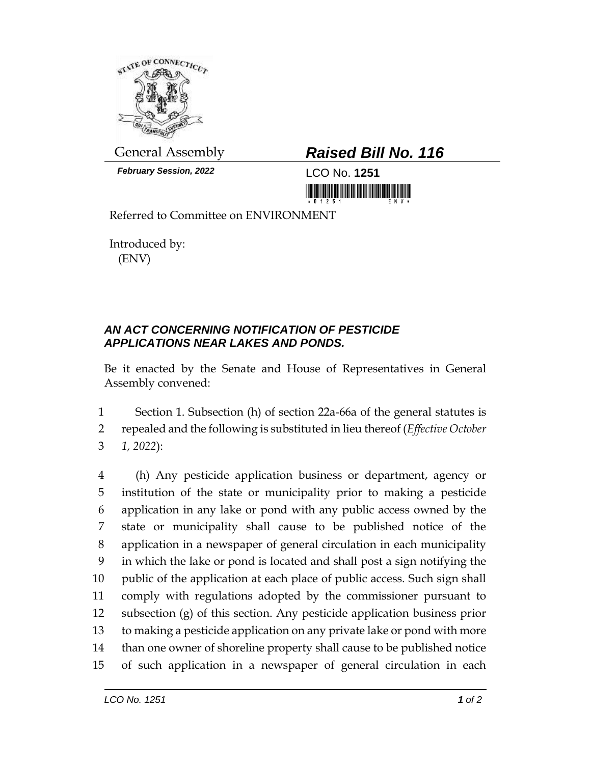

*February Session, 2022* LCO No. **1251**

## General Assembly *Raised Bill No. 116*

Referred to Committee on ENVIRONMENT

Introduced by: (ENV)

## *AN ACT CONCERNING NOTIFICATION OF PESTICIDE APPLICATIONS NEAR LAKES AND PONDS.*

Be it enacted by the Senate and House of Representatives in General Assembly convened:

1 Section 1. Subsection (h) of section 22a-66a of the general statutes is 2 repealed and the following is substituted in lieu thereof (*Effective October*  3 *1, 2022*):

 (h) Any pesticide application business or department, agency or institution of the state or municipality prior to making a pesticide application in any lake or pond with any public access owned by the state or municipality shall cause to be published notice of the application in a newspaper of general circulation in each municipality in which the lake or pond is located and shall post a sign notifying the public of the application at each place of public access. Such sign shall comply with regulations adopted by the commissioner pursuant to subsection (g) of this section. Any pesticide application business prior to making a pesticide application on any private lake or pond with more than one owner of shoreline property shall cause to be published notice of such application in a newspaper of general circulation in each